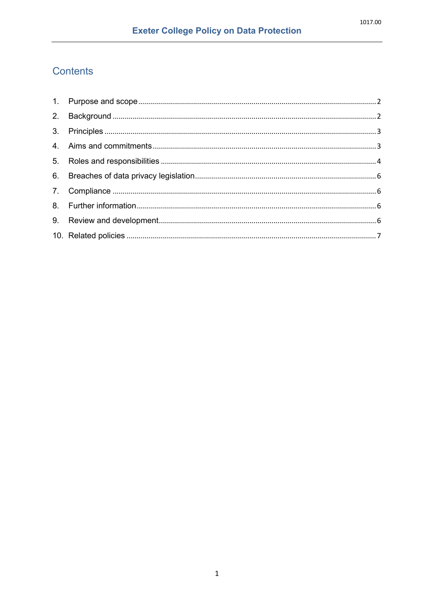# Contents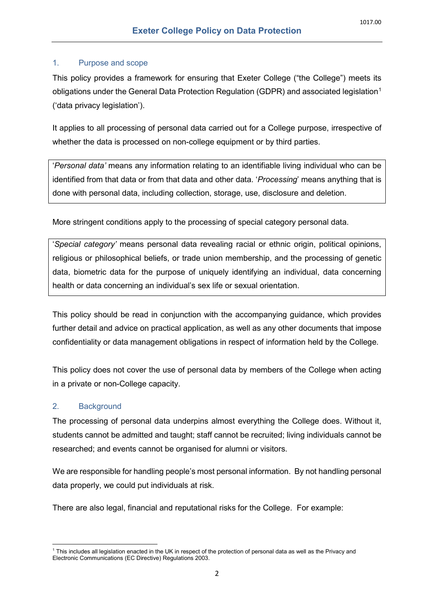#### <span id="page-1-0"></span>1. Purpose and scope

This policy provides a framework for ensuring that Exeter College ("the College") meets its obligations under the General Data Protection Regulation (GDPR) and associated legislation<sup>1</sup> ('data privacy legislation').

It applies to all processing of personal data carried out for a College purpose, irrespective of whether the data is processed on non-college equipment or by third parties.

'*Personal data'* means any information relating to an identifiable living individual who can be identified from that data or from that data and other data. '*Processing*' means anything that is done with personal data, including collection, storage, use, disclosure and deletion.

More stringent conditions apply to the processing of special category personal data.

'*Special category'* means personal data revealing racial or ethnic origin, political opinions, religious or philosophical beliefs, or trade union membership, and the processing of genetic data, biometric data for the purpose of uniquely identifying an individual, data concerning health or data concerning an individual's sex life or sexual orientation.

This policy should be read in conjunction with the accompanying guidance, which provides further detail and advice on practical application, as well as any other documents that impose confidentiality or data management obligations in respect of information held by the College.

This policy does not cover the use of personal data by members of the College when acting in a private or non-College capacity.

## <span id="page-1-1"></span>2. Background

The processing of personal data underpins almost everything the College does. Without it, students cannot be admitted and taught; staff cannot be recruited; living individuals cannot be researched; and events cannot be organised for alumni or visitors.

We are responsible for handling people's most personal information. By not handling personal data properly, we could put individuals at risk.

There are also legal, financial and reputational risks for the College. For example:

<span id="page-1-2"></span>**<sup>.</sup>**  $^1$  This includes all legislation enacted in the UK in respect of the protection of personal data as well as the Privacy and Electronic Communications (EC Directive) Regulations 2003.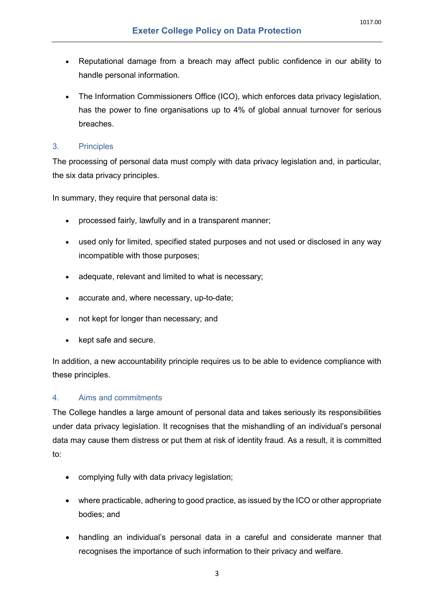- Reputational damage from a breach may affect public confidence in our ability to handle personal information.
- The Information Commissioners Office (ICO), which enforces data privacy legislation, has the power to fine organisations up to 4% of global annual turnover for serious breaches.

## <span id="page-2-0"></span>3. Principles

The processing of personal data must comply with data privacy legislation and, in particular, the six data privacy principles.

In summary, they require that personal data is:

- processed fairly, lawfully and in a transparent manner;
- used only for limited, specified stated purposes and not used or disclosed in any way incompatible with those purposes;
- adequate, relevant and limited to what is necessary;
- accurate and, where necessary, up-to-date;
- not kept for longer than necessary; and
- kept safe and secure.

In addition, a new accountability principle requires us to be able to evidence compliance with these principles.

# <span id="page-2-1"></span>4. Aims and commitments

The College handles a large amount of personal data and takes seriously its responsibilities under data privacy legislation. It recognises that the mishandling of an individual's personal data may cause them distress or put them at risk of identity fraud. As a result, it is committed to:

- complying fully with data privacy legislation;
- where practicable, adhering to good practice, as issued by the ICO or other appropriate bodies; and
- handling an individual's personal data in a careful and considerate manner that recognises the importance of such information to their privacy and welfare.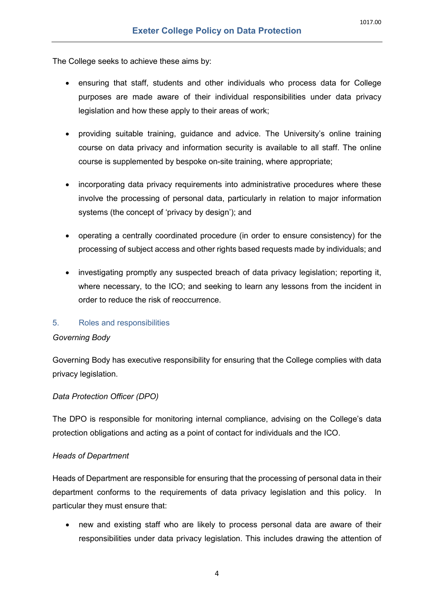The College seeks to achieve these aims by:

- ensuring that staff, students and other individuals who process data for College purposes are made aware of their individual responsibilities under data privacy legislation and how these apply to their areas of work;
- providing suitable training, guidance and advice. The University's online training course on data privacy and information security is available to all staff. The online course is supplemented by bespoke on-site training, where appropriate;
- incorporating data privacy requirements into administrative procedures where these involve the processing of personal data, particularly in relation to major information systems (the concept of 'privacy by design'); and
- operating a centrally coordinated procedure (in order to ensure consistency) for the processing of subject access and other rights based requests made by individuals; and
- investigating promptly any suspected breach of data privacy legislation; reporting it, where necessary, to the ICO; and seeking to learn any lessons from the incident in order to reduce the risk of reoccurrence.

#### <span id="page-3-0"></span>5. Roles and responsibilities

#### *Governing Body*

Governing Body has executive responsibility for ensuring that the College complies with data privacy legislation.

## *Data Protection Officer (DPO)*

The DPO is responsible for monitoring internal compliance, advising on the College's data protection obligations and acting as a point of contact for individuals and the ICO.

#### *Heads of Department*

Heads of Department are responsible for ensuring that the processing of personal data in their department conforms to the requirements of data privacy legislation and this policy. In particular they must ensure that:

• new and existing staff who are likely to process personal data are aware of their responsibilities under data privacy legislation. This includes drawing the attention of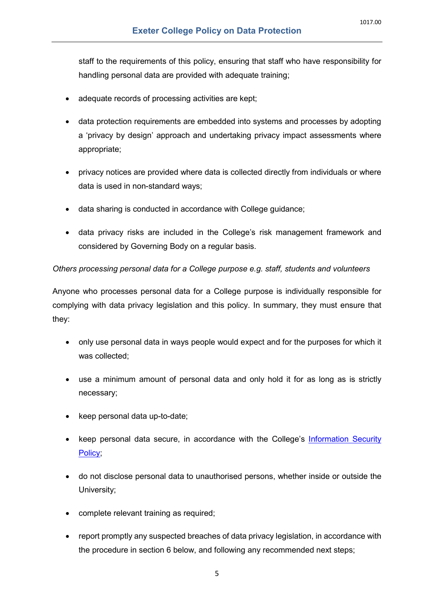staff to the requirements of this policy, ensuring that staff who have responsibility for handling personal data are provided with adequate training;

- adequate records of processing activities are kept;
- data protection requirements are embedded into systems and processes by adopting a 'privacy by design' approach and undertaking privacy impact assessments where appropriate;
- privacy notices are provided where data is collected directly from individuals or where data is used in non-standard ways;
- data sharing is conducted in accordance with College guidance;
- data privacy risks are included in the College's risk management framework and considered by Governing Body on a regular basis.

#### *Others processing personal data for a College purpose e.g. staff, students and volunteers*

Anyone who processes personal data for a College purpose is individually responsible for complying with data privacy legislation and this policy. In summary, they must ensure that they:

- only use personal data in ways people would expect and for the purposes for which it was collected;
- use a minimum amount of personal data and only hold it for as long as is strictly necessary;
- keep personal data up-to-date;
- keep personal data secure, in accordance with the College's [Information Security](https://www.exeter.ox.ac.uk/policy_docs/Information%20Security%20Policy.pdf)  [Policy;](https://www.exeter.ox.ac.uk/policy_docs/Information%20Security%20Policy.pdf)
- do not disclose personal data to unauthorised persons, whether inside or outside the University;
- complete relevant training as required;
- report promptly any suspected breaches of data privacy legislation, in accordance with the procedure in section [6](#page-5-0) below, and following any recommended next steps;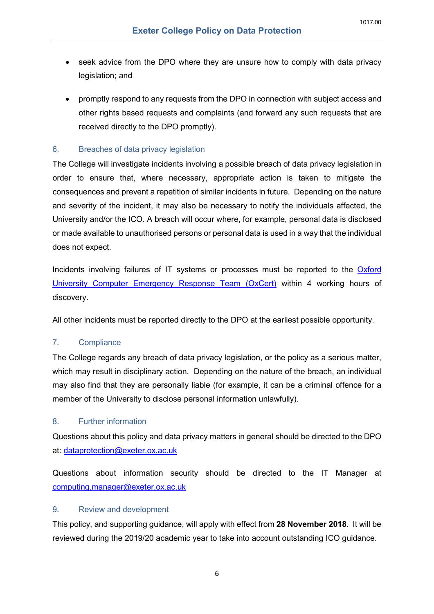- seek advice from the DPO where they are unsure how to comply with data privacy legislation; and
- promptly respond to any requests from the DPO in connection with subject access and other rights based requests and complaints (and forward any such requests that are received directly to the DPO promptly).

## <span id="page-5-0"></span>6. Breaches of data privacy legislation

The College will investigate incidents involving a possible breach of data privacy legislation in order to ensure that, where necessary, appropriate action is taken to mitigate the consequences and prevent a repetition of similar incidents in future. Depending on the nature and severity of the incident, it may also be necessary to notify the individuals affected, the University and/or the ICO. A breach will occur where, for example, personal data is disclosed or made available to unauthorised persons or personal data is used in a way that the individual does not expect.

Incidents involving failures of IT systems or processes must be reported to the [Oxford](mailto:oxcert@it.ox.ac.uk)  [University Computer Emergency Response Team \(OxCert\)](mailto:oxcert@it.ox.ac.uk) within 4 working hours of discovery.

All other incidents must be reported directly to the DPO at the earliest possible opportunity.

## <span id="page-5-1"></span>7. Compliance

The College regards any breach of data privacy legislation, or the policy as a serious matter, which may result in disciplinary action. Depending on the nature of the breach, an individual may also find that they are personally liable (for example, it can be a criminal offence for a member of the University to disclose personal information unlawfully).

## <span id="page-5-2"></span>8. Further information

Questions about this policy and data privacy matters in general should be directed to the DPO at: [dataprotection@exeter.ox.ac.uk](mailto:dataprotection@exeter.ox.ac.uk)

Questions about information security should be directed to the IT Manager at [computing.manager@exeter.ox.ac.uk](mailto:computing.manager@exeter.ox.ac.uk)

#### <span id="page-5-3"></span>9. Review and development

This policy, and supporting guidance, will apply with effect from **28 November 2018**. It will be reviewed during the 2019/20 academic year to take into account outstanding ICO guidance.